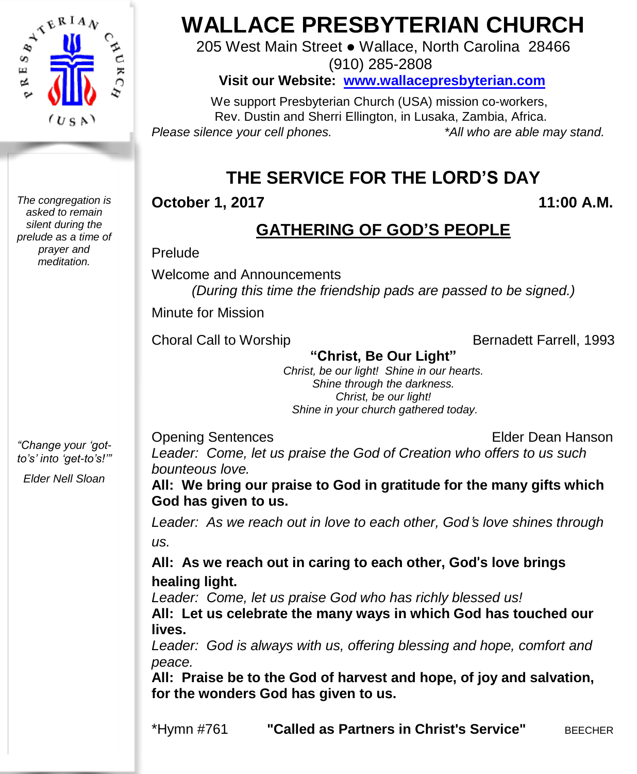

*The congregation is asked to remain silent during the prelude as a time of prayer and meditation.*

*"Change your 'gotto's' into 'get-to's!'"*

*Elder Nell Sloan*

# **WALLACE PRESBYTERIAN CHURCH**

205 West Main Street ● Wallace, North Carolina 28466 (910) 285-2808

**Visit our Website: [www.wallacepresbyterian.com](http://www.wallacepresbyterian.com/)**

 We support Presbyterian Church (USA) mission co-workers, Rev. Dustin and Sherri Ellington, in Lusaka, Zambia, Africa. *Please silence your cell phones. \*All who are able may stand.*

# **THE SERVICE FOR THE LORD'S DAY**

**October 1, 2017 11:00 A.M.**

### **GATHERING OF GOD'S PEOPLE**

Prelude

Welcome and Announcements *(During this time the friendship pads are passed to be signed.)*

Minute for Mission

Choral Call to Worship Bernadett Farrell, 1993

**"Christ, Be Our Light"** *Christ, be our light! Shine in our hearts. Shine through the darkness. Christ, be our light! Shine in your church gathered today.* 

Opening Sentences Elder Dean Hanson

*Leader: Come, let us praise the God of Creation who offers to us such bounteous love.*

**All: We bring our praise to God in gratitude for the many gifts which God has given to us.**

*Leader: As we reach out in love to each other, God*'*s love shines through us.*

**All: As we reach out in caring to each other, God**'**s love brings healing light.**

*Leader: Come, let us praise God who has richly blessed us!*

**All: Let us celebrate the many ways in which God has touched our lives.**

*Leader: God is always with us, offering blessing and hope, comfort and peace.*

**All: Praise be to the God of harvest and hope, of joy and salvation, for the wonders God has given to us.**

\*Hymn #761 **"Called as Partners in Christ's Service"** BEECHER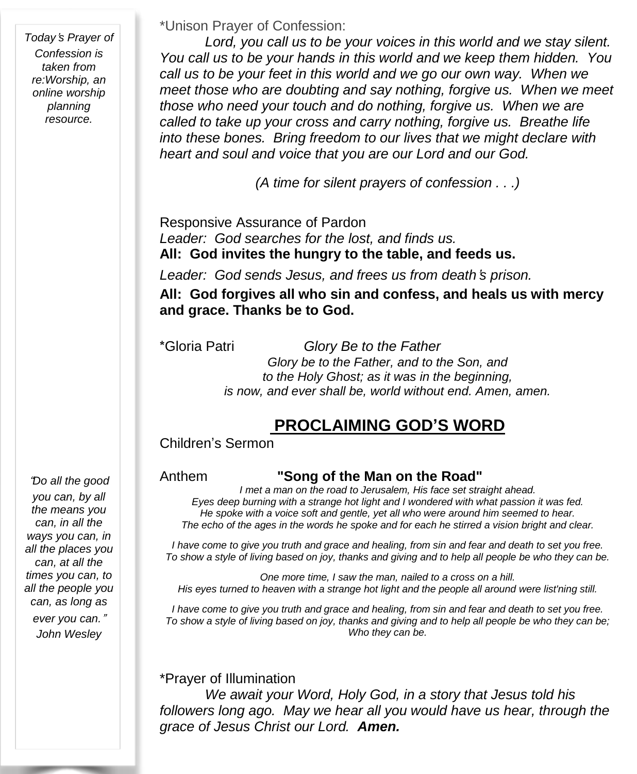*Today*'*s Prayer of Confession is taken from re:Worship, an online worship planning resource.*

#### \*Unison Prayer of Confession:

*Lord, you call us to be your voices in this world and we stay silent. You call us to be your hands in this world and we keep them hidden. You call us to be your feet in this world and we go our own way. When we meet those who are doubting and say nothing, forgive us. When we meet those who need your touch and do nothing, forgive us. When we are called to take up your cross and carry nothing, forgive us. Breathe life into these bones. Bring freedom to our lives that we might declare with heart and soul and voice that you are our Lord and our God.* 

*(A time for silent prayers of confession . . .)*

Responsive Assurance of Pardon *Leader: God searches for the lost, and finds us.* **All: God invites the hungry to the table, and feeds us.**

*Leader: God sends Jesus, and frees us from death*'*s prison.*

**All: God forgives all who sin and confess, and heals us with mercy and grace. Thanks be to God.**

\*Gloria Patri *Glory Be to the Father Glory be to the Father, and to the Son, and to the Holy Ghost; as it was in the beginning, is now, and ever shall be, world without end. Amen, amen.*

#### **PROCLAIMING GOD'S WORD**

Children's Sermon

#### Anthem **"Song of the Man on the Road"**

*I met a man on the road to Jerusalem, His face set straight ahead. Eyes deep burning with a strange hot light and I wondered with what passion it was fed. He spoke with a voice soft and gentle, yet all who were around him seemed to hear.* The echo of the ages in the words he spoke and for each he stirred a vision bright and clear.

I have come to give you truth and grace and healing, from sin and fear and death to set you free. To show a style of living based on joy, thanks and giving and to help all people be who they can be.

*One more time, I saw the man, nailed to a cross on a hill. His eyes turned to heaven with a strange hot light and the people all around were list'ning still.*

I have come to give you truth and grace and healing, from sin and fear and death to set you free. To show a style of living based on joy, thanks and giving and to help all people be who they can be; *Who they can be.*

\*Prayer of Illumination *We await your Word, Holy God, in a story that Jesus told his followers long ago. May we hear all you would have us hear, through the grace of Jesus Christ our Lord. Amen.*

"*Do all the good you can, by all the means you can, in all the ways you can, in all the places you can, at all the times you can, to all the people you can, as long as ever you can.*" *John Wesley*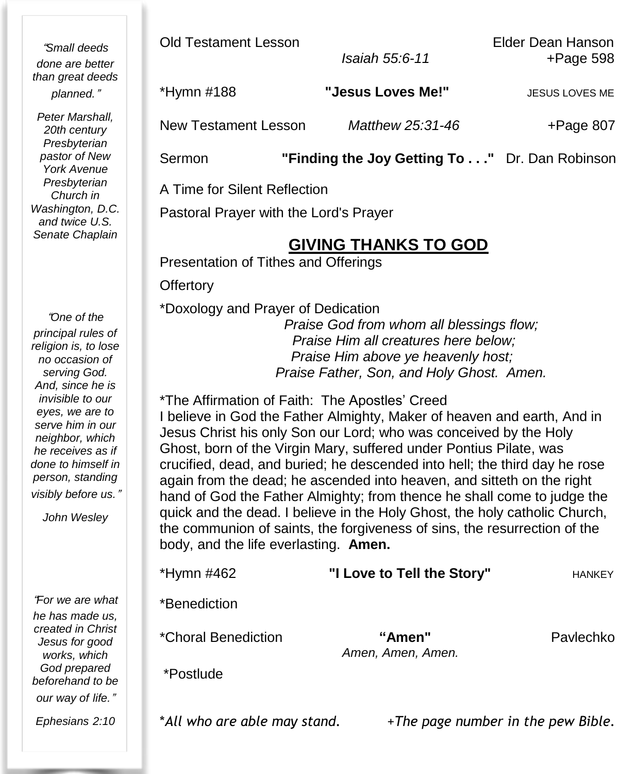"*Small deeds done are better than great deeds planned.*"

*Peter Marshall, 20th century Presbyterian pastor of New York Avenue Presbyterian Church in Washington, D.C. and twice U.S. Senate Chaplain*

"*One of the principal rules of religion is, to lose no occasion of serving God. And, since he is invisible to our eyes, we are to serve him in our neighbor, which he receives as if done to himself in person, standing visibly before us.*"

*John Wesley*

"*For we are what he has made us, created in Christ Jesus for good works, which God prepared beforehand to be our way of life.*"

*Ephesians 2:10*

Old Testament Lesson Elder Dean Hanson

*Isaiah 55:6-11* +Page 598

\*Hymn #188 **"Jesus Loves Me!"** JESUS LOVES ME

New Testament Lesson *Matthew 25:31-46* +Page 807

Sermon **"Finding the Joy Getting To . . ."** Dr. Dan Robinson

A Time for Silent Reflection

Pastoral Prayer with the Lord's Prayer

#### **GIVING THANKS TO GOD**

Presentation of Tithes and Offerings

**Offertory** 

\*Doxology and Prayer of Dedication

*Praise God from whom all blessings flow;* *Praise Him all creatures here below;* *Praise Him above ye heavenly host; Praise Father, Son, and Holy Ghost. Amen.*

\*The Affirmation of Faith: The Apostles' Creed I believe in God the Father Almighty, Maker of heaven and earth, And in Jesus Christ his only Son our Lord; who was conceived by the Holy Ghost, born of the Virgin Mary, suffered under Pontius Pilate, was crucified, dead, and buried; he descended into hell; the third day he rose again from the dead; he ascended into heaven, and sitteth on the right hand of God the Father Almighty; from thence he shall come to judge the quick and the dead. I believe in the Holy Ghost, the holy catholic Church, the communion of saints, the forgiveness of sins, the resurrection of the body, and the life everlasting. **Amen.**

| *Hymn #462          | "I Love to Tell the Story"  | <b>HANKEY</b> |
|---------------------|-----------------------------|---------------|
| *Benediction        |                             |               |
| *Choral Benediction | "Amen"<br>Amen, Amen, Amen. | Pavlechko     |
| *Postlude           |                             |               |
|                     |                             |               |

\**All who are able may stand.* +*The page number in the pew Bible.*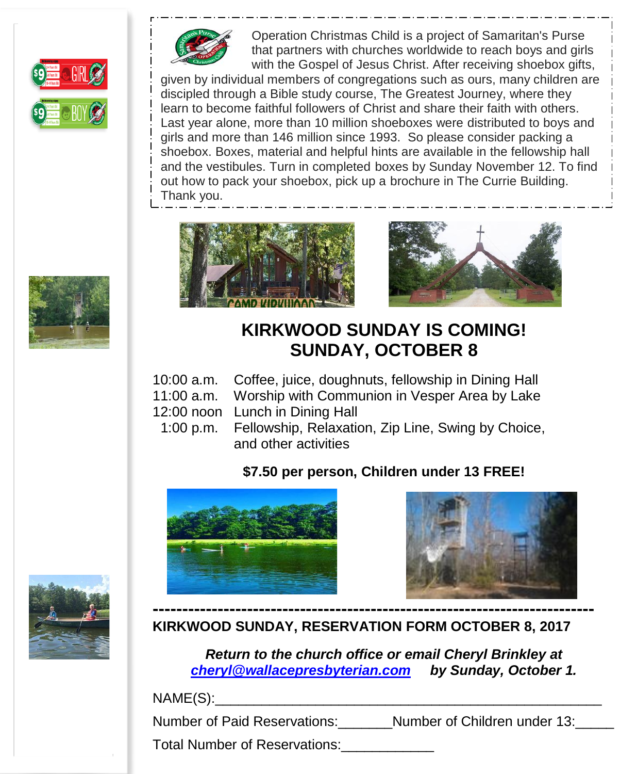



Operation Christmas Child is a project of Samaritan's Purse that partners with churches worldwide to reach boys and girls with the Gospel of Jesus Christ. After receiving shoebox gifts,

given by individual members of congregations such as ours, many children are discipled through a Bible study course, The Greatest Journey, where they learn to become faithful followers of Christ and share their faith with others. Last year alone, more than 10 million shoeboxes were distributed to boys and girls and more than 146 million since 1993. So please consider packing a shoebox. Boxes, material and helpful hints are available in the fellowship hall and the vestibules. Turn in completed boxes by Sunday November 12. To find out how to pack your shoebox, pick up a brochure in The Currie Building. Thank you.





## **KIRKWOOD SUNDAY IS COMING! SUNDAY, OCTOBER 8**

- 10:00 a.m. Coffee, juice, doughnuts, fellowship in Dining Hall
- 11:00 a.m. Worship with Communion in Vesper Area by Lake
- 12:00 noon Lunch in Dining Hall
- 1:00 p.m. Fellowship, Relaxation, Zip Line, Swing by Choice, and other activities

#### **\$7.50 per person, Children under 13 FREE!**







**KIRKWOOD SUNDAY, RESERVATION FORM OCTOBER 8, 2017**

*Return to the church office or email Cheryl Brinkley at [cheryl@wallacepresbyterian.com](mailto:cheryl@wallacepresbyterian.com) by Sunday, October 1.*

NAME(S):\_\_\_\_\_\_\_\_\_\_\_\_\_\_\_\_\_\_\_\_\_\_\_\_\_\_\_\_\_\_\_\_\_\_\_\_\_\_\_\_\_\_\_\_\_\_\_\_\_\_

Number of Paid Reservations: Number of Children under 13:

Total Number of Reservations:\_\_\_\_\_\_\_\_\_\_\_\_

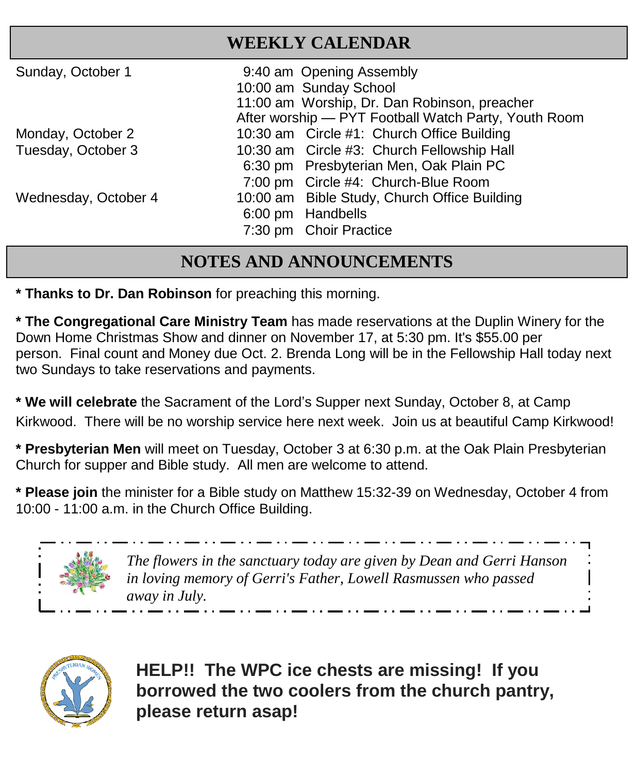| <b>WEEKLY CALENDAR</b> |                                                      |  |
|------------------------|------------------------------------------------------|--|
| Sunday, October 1      | 9:40 am Opening Assembly                             |  |
|                        | 10:00 am Sunday School                               |  |
|                        | 11:00 am Worship, Dr. Dan Robinson, preacher         |  |
|                        | After worship - PYT Football Watch Party, Youth Room |  |
| Monday, October 2      | 10:30 am Circle #1: Church Office Building           |  |
| Tuesday, October 3     | 10:30 am Circle #3: Church Fellowship Hall           |  |
|                        | 6:30 pm Presbyterian Men, Oak Plain PC               |  |
|                        | 7:00 pm Circle #4: Church-Blue Room                  |  |
| Wednesday, October 4   | 10:00 am Bible Study, Church Office Building         |  |
|                        | 6:00 pm Handbells                                    |  |
|                        | 7:30 pm Choir Practice                               |  |

#### **NOTES AND ANNOUNCEMENTS**

**\* Thanks to Dr. Dan Robinson** for preaching this morning.

**\* The Congregational Care Ministry Team** has made reservations at the Duplin Winery for the Down Home Christmas Show and dinner on November 17, at 5:30 pm. It's \$55.00 per person. Final count and Money due Oct. 2. Brenda Long will be in the Fellowship Hall today next two Sundays to take reservations and payments.

**\* We will celebrate** the Sacrament of the Lord's Supper next Sunday, October 8, at Camp Kirkwood. There will be no worship service here next week. Join us at beautiful Camp Kirkwood!

**\* Presbyterian Men** will meet on Tuesday, October 3 at 6:30 p.m. at the Oak Plain Presbyterian Church for supper and Bible study. All men are welcome to attend.

**\* Please join** the minister for a Bible study on Matthew 15:32-39 on Wednesday, October 4 from 10:00 - 11:00 a.m. in the Church Office Building.



*The flowers in the sanctuary today are given by Dean and Gerri Hanson in loving memory of Gerri's Father, Lowell Rasmussen who passed away in July.*



**HELP!! The WPC ice chests are missing! If you borrowed the two coolers from the church pantry, please return asap!**